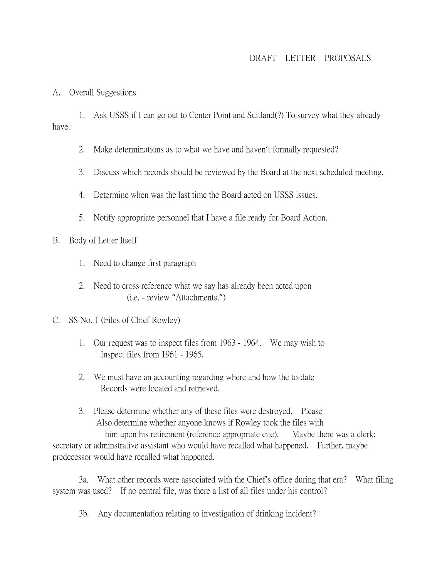# DRAFT LETTER PROPOSALS

### A. Overall Suggestions

1. Ask USSS if I can go out to Center Point and Suitland(?) To survey what they already have.

- 2. Make determinations as to what we have and haven't formally requested?
- 3. Discuss which records should be reviewed by the Board at the next scheduled meeting.
- 4. Determine when was the last time the Board acted on USSS issues.
- 5. Notify appropriate personnel that I have a file ready for Board Action.

## B. Body of Letter Itself

- 1. Need to change first paragraph
- 2. Need to cross reference what we say has already been acted upon (i.e. - review "Attachments.")

## C. SS No. 1 (Files of Chief Rowley)

- 1. Our request was to inspect files from 1963 1964. We may wish to Inspect files from 1961 - 1965.
- 2. We must have an accounting regarding where and how the to-date Records were located and retrieved.
- 3. Please determine whether any of these files were destroyed. Please Also determine whether anyone knows if Rowley took the files with him upon his retirement (reference appropriate cite). Maybe there was a clerk; secretary or adminstrative assistant who would have recalled what happened. Further, maybe predecessor would have recalled what happened.

3a. What other records were associated with the Chief's office during that era? What filing system was used? If no central file, was there a list of all files under his control?

3b. Any documentation relating to investigation of drinking incident?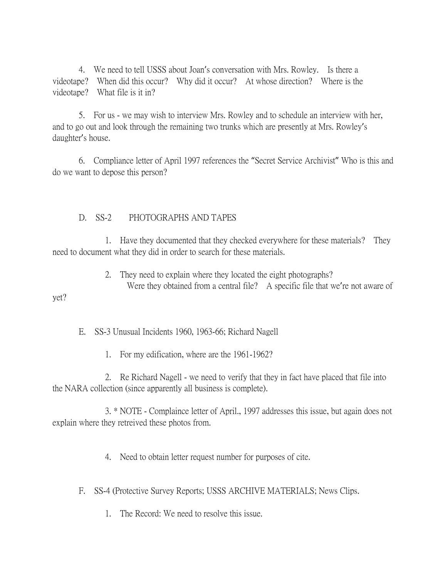4. We need to tell USSS about Joan's conversation with Mrs. Rowley. Is there a videotape? When did this occur? Why did it occur? At whose direction? Where is the videotape? What file is it in?

5. For us - we may wish to interview Mrs. Rowley and to schedule an interview with her, and to go out and look through the remaining two trunks which are presently at Mrs. Rowley's daughter's house.

6. Compliance letter of April 1997 references the "Secret Service Archivist" Who is this and do we want to depose this person?

# D. SS-2 PHOTOGRAPHS AND TAPES

1. Have they documented that they checked everywhere for these materials? They need to document what they did in order to search for these materials.

> 2. They need to explain where they located the eight photographs? Were they obtained from a central file? A specific file that we're not aware of

## yet?

E. SS-3 Unusual Incidents 1960, 1963-66; Richard Nagell

1. For my edification, where are the 1961-1962?

2. Re Richard Nagell - we need to verify that they in fact have placed that file into the NARA collection (since apparently all business is complete).

3. \* NOTE - Complaince letter of April., 1997 addresses this issue, but again does not explain where they retreived these photos from.

4. Need to obtain letter request number for purposes of cite.

F. SS-4 (Protective Survey Reports; USSS ARCHIVE MATERIALS; News Clips.

1. The Record: We need to resolve this issue.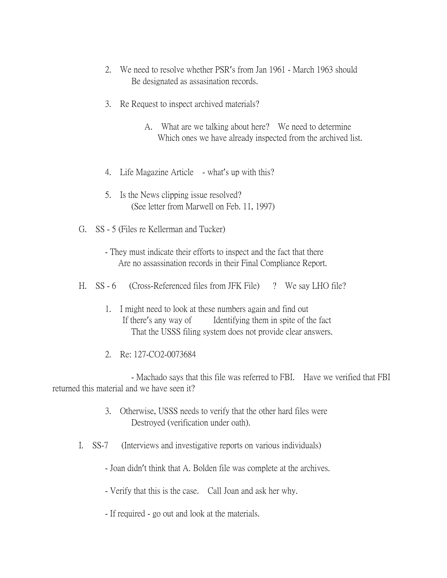- 2. We need to resolve whether PSR's from Jan 1961 March 1963 should Be designated as assasination records.
- 3. Re Request to inspect archived materials?
	- A. What are we talking about here? We need to determine Which ones we have already inspected from the archived list.
- 4. Life Magazine Article what's up with this?
- 5. Is the News clipping issue resolved? (See letter from Marwell on Feb. 11, 1997)
- G. SS 5 (Files re Kellerman and Tucker)
	- They must indicate their efforts to inspect and the fact that there Are no assassination records in their Final Compliance Report.
- H. SS 6 (Cross-Referenced files from JFK File) ? We say LHO file?
	- 1. I might need to look at these numbers again and find out If there's any way of Identifying them in spite of the fact That the USSS filing system does not provide clear answers.
	- 2. Re: 127-CO2-0073684

- Machado says that this file was referred to FBI. Have we verified that FBI returned this material and we have seen it?

- 3. Otherwise, USSS needs to verify that the other hard files were Destroyed (verification under oath).
- I. SS-7 (Interviews and investigative reports on various individuals)
	- Joan didn't think that A. Bolden file was complete at the archives.
	- Verify that this is the case. Call Joan and ask her why.
	- If required go out and look at the materials.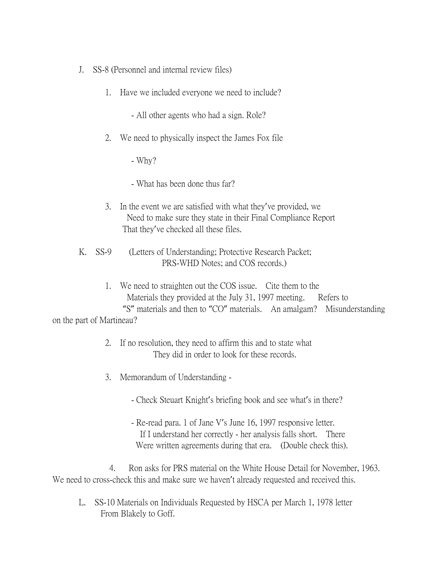- J. SS-8 (Personnel and internal review files)
	- 1. Have we included everyone we need to include?
		- All other agents who had a sign. Role?
	- 2. We need to physically inspect the James Fox file

- Why?

- What has been done thus far?

- 3. In the event we are satisfied with what they've provided, we Need to make sure they state in their Final Compliance Report That they've checked all these files.
- K. SS-9 (Letters of Understanding; Protective Research Packet; PRS-WHD Notes; and COS records.)
- 1. We need to straighten out the COS issue. Cite them to the Materials they provided at the July 31, 1997 meeting. Refers to "S" materials and then to "CO" materials. An amalgam? Misunderstanding on the part of Martineau?
	- 2. If no resolution, they need to affirm this and to state what They did in order to look for these records.
	- 3. Memorandum of Understanding
		- Check Steuart Knight's briefing book and see what's in there?
		- Re-read para. 1 of Jane V's June 16, 1997 responsive letter. If I understand her correctly - her analysis falls short. There Were written agreements during that era. (Double check this).

4. Ron asks for PRS material on the White House Detail for November, 1963. We need to cross-check this and make sure we haven't already requested and received this.

L. SS-10 Materials on Individuals Requested by HSCA per March 1, 1978 letter From Blakely to Goff.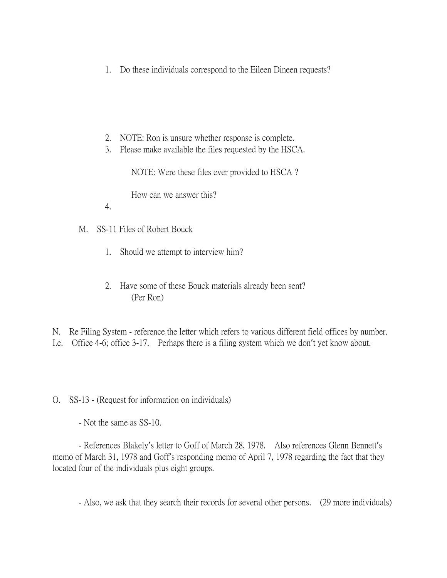- 1. Do these individuals correspond to the Eileen Dineen requests?
- 2. NOTE: Ron is unsure whether response is complete.
- 3. Please make available the files requested by the HSCA.

NOTE: Were these files ever provided to HSCA ?

How can we answer this?

- 4.
- M. SS-11 Files of Robert Bouck
	- 1. Should we attempt to interview him?
	- 2. Have some of these Bouck materials already been sent? (Per Ron)

N. Re Filing System - reference the letter which refers to various different field offices by number. I.e. Office 4-6; office 3-17. Perhaps there is a filing system which we don't yet know about.

O. SS-13 - (Request for information on individuals)

- Not the same as SS-10.

- References Blakely's letter to Goff of March 28, 1978. Also references Glenn Bennett's memo of March 31, 1978 and Goff's responding memo of April 7, 1978 regarding the fact that they located four of the individuals plus eight groups.

- Also, we ask that they search their records for several other persons. (29 more individuals)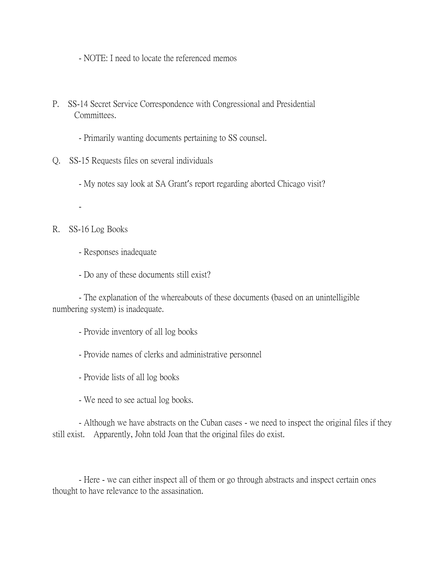- NOTE: I need to locate the referenced memos

- P. SS-14 Secret Service Correspondence with Congressional and Presidential Committees.
	- Primarily wanting documents pertaining to SS counsel.
- Q. SS-15 Requests files on several individuals
	- My notes say look at SA Grant's report regarding aborted Chicago visit?
	- -

# R. SS-16 Log Books

- Responses inadequate
- Do any of these documents still exist?

- The explanation of the whereabouts of these documents (based on an unintelligible numbering system) is inadequate.

- Provide inventory of all log books
- Provide names of clerks and administrative personnel
- Provide lists of all log books
- We need to see actual log books.

- Although we have abstracts on the Cuban cases - we need to inspect the original files if they still exist. Apparently, John told Joan that the original files do exist.

- Here - we can either inspect all of them or go through abstracts and inspect certain ones thought to have relevance to the assasination.